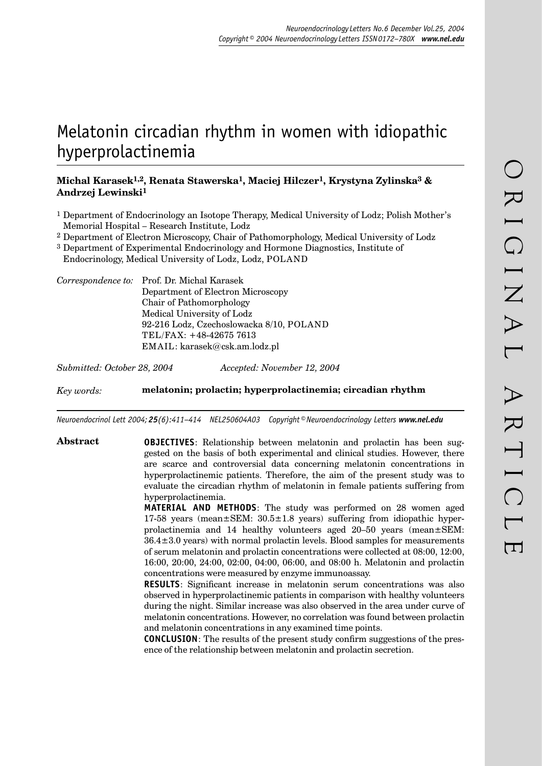# Melatonin circadian rhythm in women with idiopathic hyperprolactinemia

## **Michal Karasek1,2, Renata Stawerska1, Maciej Hilczer1, Krystyna Zylinska3 & Andrzej Lewinski1**

- 1 Department of Endocrinology an Isotope Therapy, Medical University of Lodz; Polish Mother's Memorial Hospital – Research Institute, Lodz
- 2 Department of Electron Microscopy, Chair of Pathomorphology, Medical University of Lodz
- 3 Department of Experimental Endocrinology and Hormone Diagnostics, Institute of
- Endocrinology, Medical University of Lodz, Lodz, POLAND

*Correspondence to:* Prof. Dr. Michal Karasek Department of Electron Microscopy Chair of Pathomorphology Medical University of Lodz 92-216 Lodz, Czechoslowacka 8/10, POLAND TEL/FAX: +48-42675 7613 EMAIL: karasek@csk.am.lodz.pl

*Submitted: October 28, 2004 Accepted: November 12, 2004*

*Key words:* **melatonin; prolactin; hyperprolactinemia; circadian rhythm**

*Neuroendocrinol Lett 2004; 25(6):411–414 NEL250604A03 Copyright © Neuroendocrinology Letters www.nel.edu*

**Abstract OBJECTIVES**: Relationship between melatonin and prolactin has been suggested on the basis of both experimental and clinical studies. However, there are scarce and controversial data concerning melatonin concentrations in hyperprolactinemic patients. Therefore, the aim of the present study was to evaluate the circadian rhythm of melatonin in female patients suffering from hyperprolactinemia.

> **MATERIAL AND METHODS**: The study was performed on 28 women aged 17-58 years (mean±SEM: 30.5±1.8 years) suffering from idiopathic hyperprolactinemia and 14 healthy volunteers aged 20–50 years (mean±SEM: 36.4±3.0 years) with normal prolactin levels. Blood samples for measurements of serum melatonin and prolactin concentrations were collected at 08:00, 12:00, 16:00, 20:00, 24:00, 02:00, 04:00, 06:00, and 08:00 h. Melatonin and prolactin concentrations were measured by enzyme immunoassay.

> **RESULTS**: Significant increase in melatonin serum concentrations was also observed in hyperprolactinemic patients in comparison with healthy volunteers during the night. Similar increase was also observed in the area under curve of melatonin concentrations. However, no correlation was found between prolactin and melatonin concentrations in any examined time points.

> **CONCLUSION**: The results of the present study confirm suggestions of the presence of the relationship between melatonin and prolactin secretion.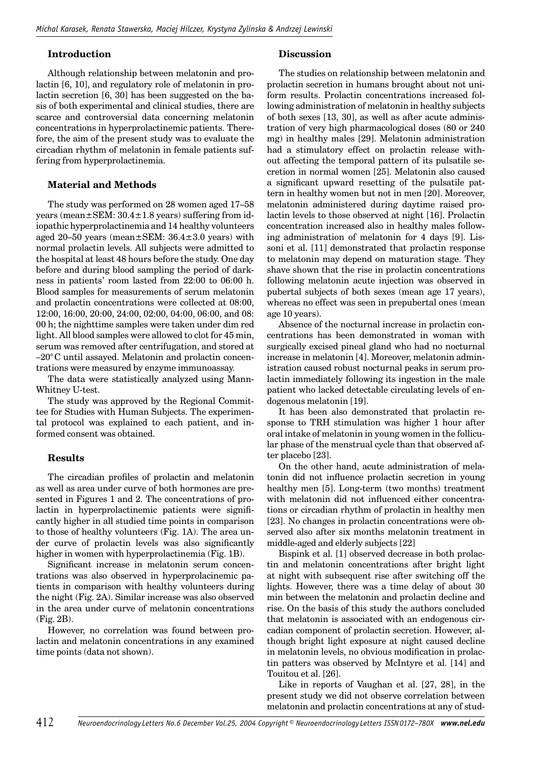#### **Introduction**

Although relationship between melatonin and prolactin [6, 10], and regulatory role of melatonin in prolactin secretion [6, 30] has been suggested on the basis of both experimental and clinical studies, there are scarce and controversial data concerning melatonin concentrations in hyperprolactinemic patients. Therefore, the aim of the present study was to evaluate the circadian rhythm of melatonin in female patients suffering from hyperprolactinemia.

### **Material and Methods**

The study was performed on 28 women aged 17–58 years (mean±SEM: 30.4±1.8 years) suffering from idiopathic hyperprolactinemia and 14 healthy volunteers aged 20–50 years (mean $\pm$ SEM: 36.4 $\pm$ 3.0 years) with normal prolactin levels. All subjects were admitted to the hospital at least 48 hours before the study. One day before and during blood sampling the period of darkness in patients' room lasted from 22:00 to 06:00 h. Blood samples for measurements of serum melatonin and prolactin concentrations were collected at 08:00, 12:00, 16:00, 20:00, 24:00, 02:00, 04:00, 06:00, and 08: 00 h; the nighttime samples were taken under dim red light. All blood samples were allowed to clot for 45 min, serum was removed after centrifugation, and stored at  $-20^{\circ}$ C until assayed. Melatonin and prolactin concentrations were measured by enzyme immunoassay.

The data were statistically analyzed using Mann-Whitney U-test.

The study was approved by the Regional Committee for Studies with Human Subjects. The experimental protocol was explained to each patient, and informed consent was obtained.

#### **Results**

The circadian profiles of prolactin and melatonin as well as area under curve of both hormones are presented in Figures 1 and 2. The concentrations of prolactin in hyperprolactinemic patients were significantly higher in all studied time points in comparison to those of healthy volunteers (Fig. 1A). The area under curve of prolactin levels was also significantly higher in women with hyperprolactinemia (Fig. 1B).

Significant increase in melatonin serum concentrations was also observed in hyperprolacinemic patients in comparison with healthy volunteers during the night (Fig. 2A). Similar increase was also observed in the area under curve of melatonin concentrations (Fig. 2B).

However, no correlation was found between prolactin and melatonin concentrations in any examined time points (data not shown).

#### **Discussion**

The studies on relationship between melatonin and prolactin secretion in humans brought about not uniform results. Prolactin concentrations increased following administration of melatonin in healthy subjects of both sexes [13, 30], as well as after acute administration of very high pharmacological doses (80 or 240 mg) in healthy males [29]. Melatonin administration had a stimulatory effect on prolactin release without affecting the temporal pattern of its pulsatile secretion in normal women [25]. Melatonin also caused a significant upward resetting of the pulsatile pattern in healthy women but not in men [20]. Moreover, melatonin administered during daytime raised prolactin levels to those observed at night [16]. Prolactin concentration increased also in healthy males following administration of melatonin for 4 days [9]. Lissoni et al. [11] demonstrated that prolactin response to melatonin may depend on maturation stage. They shave shown that the rise in prolactin concentrations following melatonin acute injection was observed in pubertal subjects of both sexes (mean age 17 years), whereas no effect was seen in prepubertal ones (mean age 10 years).

Absence of the nocturnal increase in prolactin concentrations has been demonstrated in woman with surgically excised pineal gland who had no nocturnal increase in melatonin [4]. Moreover, melatonin administration caused robust nocturnal peaks in serum prolactin immediately following its ingestion in the male patient who lacked detectable circulating levels of endogenous melatonin [19].

It has been also demonstrated that prolactin response to TRH stimulation was higher 1 hour after oral intake of melatonin in young women in the follicular phase of the menstrual cycle than that observed after placebo [23].

On the other hand, acute administration of melatonin did not influence prolactin secretion in young healthy men [5]. Long-term (two months) treatment with melatonin did not influenced either concentrations or circadian rhythm of prolactin in healthy men [23]. No changes in prolactin concentrations were observed also after six months melatonin treatment in middle-aged and elderly subjects [22]

Bispink et al. [1] observed decrease in both prolactin and melatonin concentrations after bright light at night with subsequent rise after switching off the lights. However, there was a time delay of about 30 min between the melatonin and prolactin decline and rise. On the basis of this study the authors concluded that melatonin is associated with an endogenous circadian component of prolactin secretion. However, although bright light exposure at night caused decline in melatonin levels, no obvious modification in prolactin patters was observed by McIntyre et al. [14] and Touitou et al. [26].

Like in reports of Vaughan et al. [27, 28], in the present study we did not observe correlation between melatonin and prolactin concentrations at any of stud-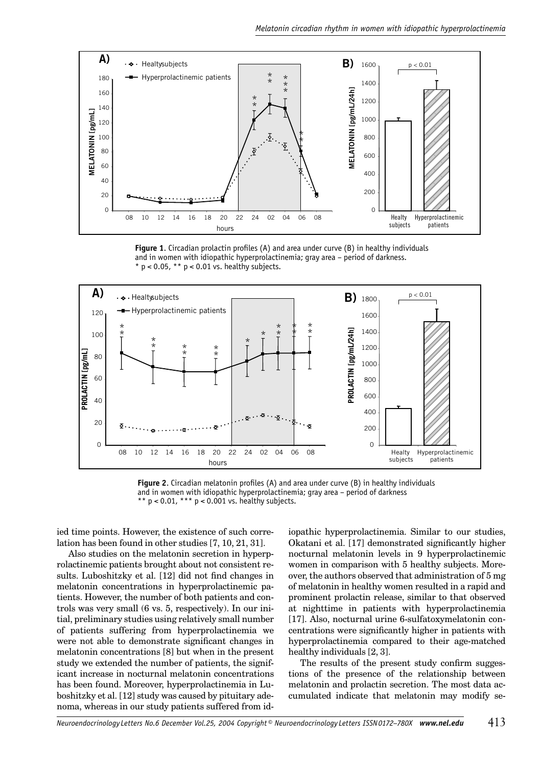

Figure 1. Circadian prolactin profiles (A) and area under curve (B) in healthy individuals and in women with idiopathic hyperprolactinemia; gray area - period of darkness. \*  $p < 0.05$ , \*\*  $p < 0.01$  vs. healthy subjects.



Figure 2. Circadian melatonin profiles (A) and area under curve (B) in healthy individuals and in women with idiopathic hyperprolactinemia; gray area - period of darkness \*\*  $p < 0.01$ , \*\*\*  $p < 0.001$  vs. healthy subjects.

ied time points. However, the existence of such correlation has been found in other studies [7, 10, 21, 31].

Also studies on the melatonin secretion in hyperprolactinemic patients brought about not consistent results. Luboshitzky et al. [12] did not find changes in melatonin concentrations in hyperprolactinemic patients. However, the number of both patients and controls was very small (6 vs. 5, respectively). In our initial, preliminary studies using relatively small number of patients suffering from hyperprolactinemia we were not able to demonstrate significant changes in melatonin concentrations [8] but when in the present study we extended the number of patients, the significant increase in nocturnal melatonin concentrations has been found. Moreover, hyperprolactinemia in Luboshitzky et al. [12] study was caused by pituitary adenoma, whereas in our study patients suffered from idiopathic hyperprolactinemia. Similar to our studies, Okatani et al. [17] demonstrated significantly higher nocturnal melatonin levels in 9 hyperprolactinemic women in comparison with 5 healthy subjects. Moreover, the authors observed that administration of 5 mg of melatonin in healthy women resulted in a rapid and prominent prolactin release, similar to that observed at nighttime in patients with hyperprolactinemia [17]. Also, nocturnal urine 6-sulfatoxymelatonin concentrations were significantly higher in patients with hyperprolactinemia compared to their age-matched healthy individuals  $[2, 3]$ .

The results of the present study confirm suggestions of the presence of the relationship between melatonin and prolactin secretion. The most data accumulated indicate that melatonin may modify se